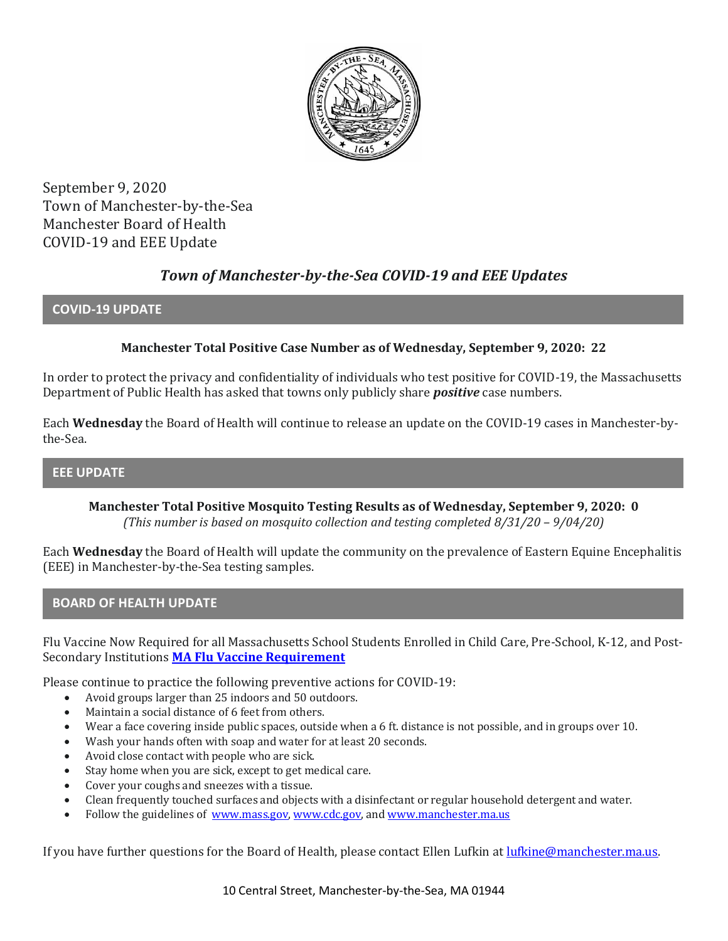

September 9, 2020 Town of Manchester-by-the-Sea Manchester Board of Health COVID-19 and EEE Update

# *Town of Manchester-by-the-Sea COVID-19 and EEE Updates*

## **COVID-19 UPDATE**

## **Manchester Total Positive Case Number as of Wednesday, September 9, 2020: 22**

In order to protect the privacy and confidentiality of individuals who test positive for COVID-19, the Massachusetts Department of Public Health has asked that towns only publicly share *positive* case numbers.

Each **Wednesday** the Board of Health will continue to release an update on the COVID-19 cases in Manchester-bythe-Sea.

## **EEE UPDATE**

**Manchester Total Positive Mosquito Testing Results as of Wednesday, September 9, 2020: 0** *(This number is based on mosquito collection and testing completed 8/31/20 – 9/04/20)*

Each **Wednesday** the Board of Health will update the community on the prevalence of Eastern Equine Encephalitis (EEE) in Manchester-by-the-Sea testing samples.

### **BOARD OF HEALTH UPDATE**

Flu Vaccine Now Required for all Massachusetts School Students Enrolled in Child Care, Pre-School, K-12, and Post-Secondary Institutions **[MA Flu Vaccine Requirement](https://www.mass.gov/news/flu-vaccine-now-required-for-all-massachusetts-school-students-enrolled-in-child-care-pre)**

Please continue to practice the following preventive actions for COVID-19:

- Avoid groups larger than 25 indoors and 50 outdoors.
- Maintain a social distance of 6 feet from others.
- Wear a face covering inside public spaces, outside when a 6 ft. distance is not possible, and in groups over 10.
- Wash your hands often with soap and water for at least 20 seconds.
- Avoid close contact with people who are sick.
- Stay home when you are sick, except to get medical care.
- Cover your coughs and sneezes with a tissue.
- Clean frequently touched surfaces and objects with a disinfectant or regular household detergent and water.
- Follow the guidelines of [www.mass.gov,](https://www.mass.gov/) [www.cdc.gov,](https://www.cdc.gov/) an[d www.manchester.ma.us](http://www.manchester.ma.us/)

If you have further questions for the Board of Health, please contact Ellen Lufkin at <u>lufkine@manchester.ma.us</u>.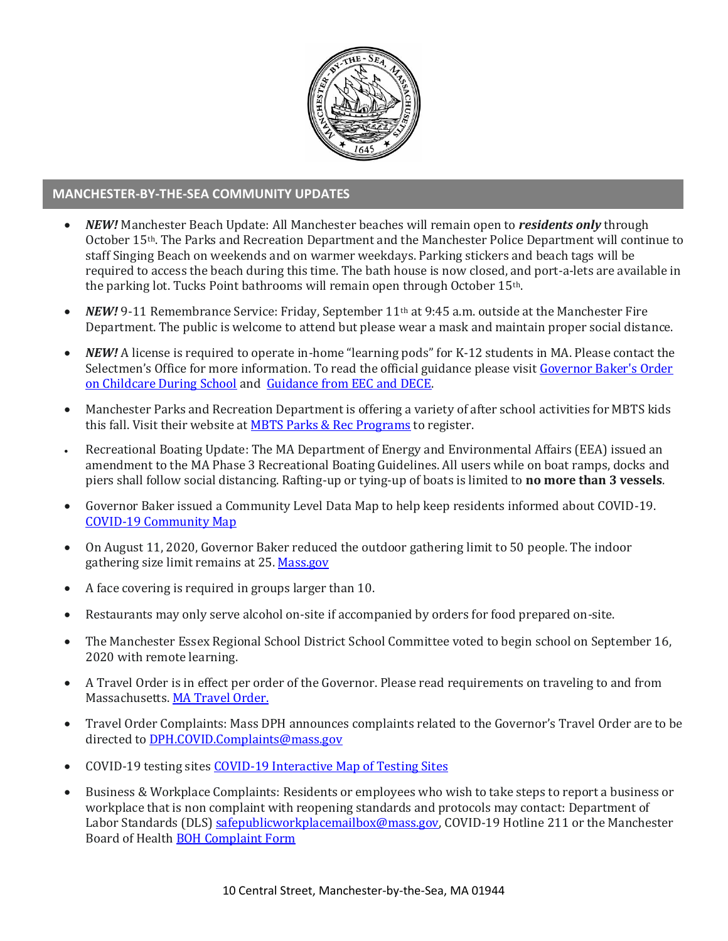

#### **MANCHESTER-BY-THE-SEA COMMUNITY UPDATES**

- *NEW!* Manchester Beach Update: All Manchester beaches will remain open to *residents only* through October 15th. The Parks and Recreation Department and the Manchester Police Department will continue to staff Singing Beach on weekends and on warmer weekdays. Parking stickers and beach tags will be required to access the beach during this time. The bath house is now closed, and port-a-lets are available in the parking lot. Tucks Point bathrooms will remain open through October 15th.
- *NEW!* 9-11 Remembrance Service: Friday, September 11<sup>th</sup> at 9:45 a.m. outside at the Manchester Fire Department. The public is welcome to attend but please wear a mask and maintain proper social distance.
- *NEW!* A license is required to operate in-home "learning pods" for K-12 students in MA. Please contact the Selectmen's Office for more information. To read the official guidance please visit [Governor Baker's Order](https://www.mass.gov/doc/august-28-2020-supporting-parents-with-children-in-remote-learning/download)  [on Childcare During School](https://www.mass.gov/doc/august-28-2020-supporting-parents-with-children-in-remote-learning/download) and [Guidance from EEC and DECE.](https://eeclead.force.com/resource/1598716186000/CareOptions)
- Manchester Parks and Recreation Department is offering a variety of after school activities for MBTS kids this fall. Visit their website at **MBTS Parks & Rec Programs** to register.
- Recreational Boating Update: The MA Department of Energy and Environmental Affairs (EEA) issued an amendment to the MA Phase 3 Recreational Boating Guidelines. All users while on boat ramps, docks and piers shall follow social distancing. Rafting-up or tying-up of boats is limited to **no more than 3 vessels**.
- Governor Baker issued a Community Level Data Map to help keep residents informed about COVID-19. [COVID-19 Community Map](https://www.mass.gov/info-details/community-level-covid-19-data-reporting)
- On August 11, 2020, Governor Baker reduced the outdoor gathering limit to 50 people. The indoor gathering size limit remains at 25[. Mass.gov](https://www.mass.gov/news/baker-polito-administration-announces-new-initiatives-to-stop-spread-of-covid-19)
- A face covering is required in groups larger than 10.
- Restaurants may only serve alcohol on-site if accompanied by orders for food prepared on-site.
- The Manchester Essex Regional School District School Committee voted to begin school on September 16, 2020 with remote learning.
- A Travel Order is in effect per order of the Governor. Please read requirements on traveling to and from Massachusetts. [MA Travel Order.](https://www.mass.gov/info-details/covid-19-travel-order)
- Travel Order Complaints: Mass DPH announces complaints related to the Governor's Travel Order are to be directed t[o DPH.COVID.Complaints@mass.gov](mailto:DPH.COVID.Complaints@mass.gov)
- COVID-19 testing site[s COVID-19 Interactive](https://memamaps.maps.arcgis.com/apps/webappviewer/index.html?id=eba3f0395451430b9f631cb095febf13) Map of Testing Sites
- Business & Workplace Complaints: Residents or employees who wish to take steps to report a business or workplace that is non complaint with reopening standards and protocols may contact: Department of Labor Standards (DLS[\) safepublicworkplacemailbox@mass.gov,](mailto:safepublicworkplacemailbox@mass.gov) COVID-19 Hotline 211 or the Manchester Board of Health [BOH Complaint Form](http://manchester.ma.us/DocumentCenter/View/3282/Board-of-Health-Complaint-Form-2020)